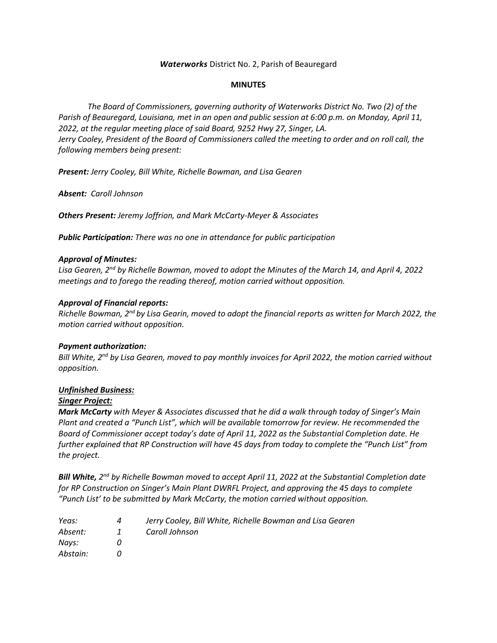## *Waterworks* District No. 2, Parish of Beauregard

#### **MINUTES**

*The Board of Commissioners, governing authority of Waterworks District No. Two (2) of the Parish of Beauregard, Louisiana, met in an open and public session at 6:00 p.m. on Monday, April 11, 2022, at the regular meeting place of said Board, 9252 Hwy 27, Singer, LA. Jerry Cooley, President of the Board of Commissioners called the meeting to order and on roll call, the following members being present:*

*Present: Jerry Cooley, Bill White, Richelle Bowman, and Lisa Gearen*

*Absent: Caroll Johnson*

*Others Present: Jeremy Joffrion, and Mark McCarty-Meyer & Associates*

*Public Participation: There was no one in attendance for public participation*

## *Approval of Minutes:*

*Lisa Gearen, 2nd by Richelle Bowman, moved to adopt the Minutes of the March 14, and April 4, 2022 meetings and to forego the reading thereof, motion carried without opposition.*

## *Approval of Financial reports:*

*Richelle Bowman, 2nd by Lisa Gearin, moved to adopt the financial reports as written for March 2022, the motion carried without opposition.*

#### *Payment authorization:*

*Bill White, 2nd by Lisa Gearen, moved to pay monthly invoices for April 2022, the motion carried without opposition.*

# *Unfinished Business:*

#### *Singer Project:*

*Mark McCarty with Meyer & Associates discussed that he did a walk through today of Singer's Main Plant and created a "Punch List", which will be available tomorrow for review. He recommended the Board of Commissioner accept today's date of April 11, 2022 as the Substantial Completion date. He further explained that RP Construction will have 45 days from today to complete the "Punch List" from the project.*

*Bill White, 2 nd by Richelle Bowman moved to accept April 11, 2022 at the Substantial Completion date for RP Construction on Singer's Main Plant DWRFL Project, and approving the 45 days to complete "Punch List' to be submitted by Mark McCarty, the motion carried without opposition.*

| Yeas:    | 4 | Jerry Cooley, Bill White, Richelle Bowman and Lisa Gearen |
|----------|---|-----------------------------------------------------------|
| Absent:  | 1 | Caroll Johnson                                            |
| Navs:    |   |                                                           |
| Abstain: |   |                                                           |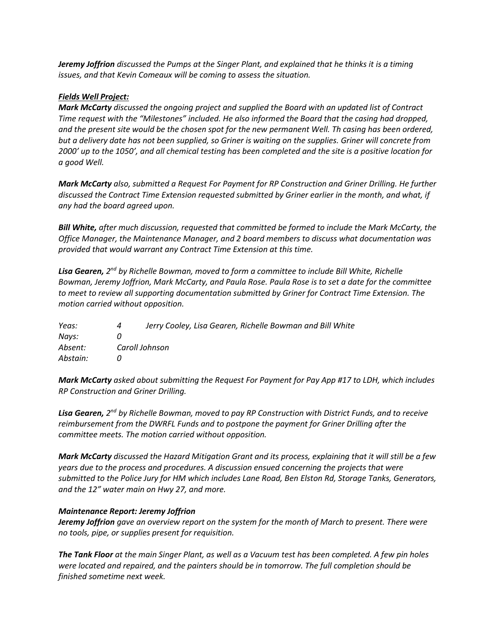*Jeremy Joffrion discussed the Pumps at the Singer Plant, and explained that he thinks it is a timing issues, and that Kevin Comeaux will be coming to assess the situation.*

## *Fields Well Project:*

*Mark McCarty discussed the ongoing project and supplied the Board with an updated list of Contract Time request with the "Milestones" included. He also informed the Board that the casing had dropped, and the present site would be the chosen spot for the new permanent Well. Th casing has been ordered, but a delivery date has not been supplied, so Griner is waiting on the supplies. Griner will concrete from 2000' up to the 1050', and all chemical testing has been completed and the site is a positive location for a good Well.*

*Mark McCarty also, submitted a Request For Payment for RP Construction and Griner Drilling. He further discussed the Contract Time Extension requested submitted by Griner earlier in the month, and what, if any had the board agreed upon.*

*Bill White, after much discussion, requested that committed be formed to include the Mark McCarty, the Office Manager, the Maintenance Manager, and 2 board members to discuss what documentation was provided that would warrant any Contract Time Extension at this time.*

Lisa Gearen, 2<sup>nd</sup> by Richelle Bowman, moved to form a committee to include Bill White, Richelle *Bowman, Jeremy Joffrion, Mark McCarty, and Paula Rose. Paula Rose is to set a date for the committee to meet to review all supporting documentation submitted by Griner for Contract Time Extension. The motion carried without opposition.*

| Yeas:    | 4 | Jerry Cooley, Lisa Gearen, Richelle Bowman and Bill White |  |  |
|----------|---|-----------------------------------------------------------|--|--|
| Navs:    |   |                                                           |  |  |
| Absent:  |   | Caroll Johnson                                            |  |  |
| Abstain: |   |                                                           |  |  |

*Mark McCarty asked about submitting the Request For Payment for Pay App #17 to LDH, which includes RP Construction and Griner Drilling.*

**Lisa Gearen,** 2<sup>nd</sup> by Richelle Bowman, moved to pay RP Construction with District Funds, and to receive *reimbursement from the DWRFL Funds and to postpone the payment for Griner Drilling after the committee meets. The motion carried without opposition.*

*Mark McCarty discussed the Hazard Mitigation Grant and its process, explaining that it will still be a few years due to the process and procedures. A discussion ensued concerning the projects that were submitted to the Police Jury for HM which includes Lane Road, Ben Elston Rd, Storage Tanks, Generators, and the 12" water main on Hwy 27, and more.*

#### *Maintenance Report: Jeremy Joffrion*

*Jeremy Joffrion gave an overview report on the system for the month of March to present. There were no tools, pipe, or supplies present for requisition.*

*The Tank Floor at the main Singer Plant, as well as a Vacuum test has been completed. A few pin holes were located and repaired, and the painters should be in tomorrow. The full completion should be finished sometime next week.*